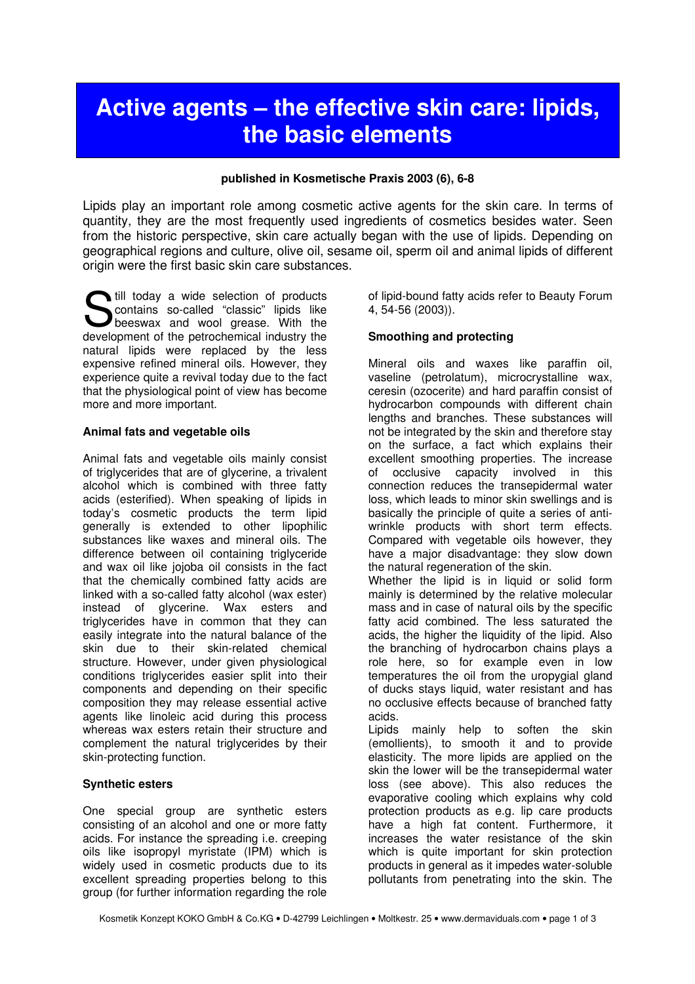# Active agents – the effective skin care: lipids, the basic elements

#### published in Kosmetische Praxis 2003 (6), 6-8

Lipids play an important role among cosmetic active agents for the skin care. In terms of quantity, they are the most frequently used ingredients of cosmetics besides water. Seen from the historic perspective, skin care actually began with the use of lipids. Depending on geographical regions and culture, olive oil, sesame oil, sperm oil and animal lipids of different origin were the first basic skin care substances.

**S** till today a wide selection of products<br>
so-called "classic" lipids like<br>
beeswax and wool grease. With the contains so-called "classic" lipids like beeswax and wool grease. With the development of the petrochemical industry the natural lipids were replaced by the less expensive refined mineral oils. However, they experience quite a revival today due to the fact that the physiological point of view has become more and more important.

#### Animal fats and vegetable oils

Animal fats and vegetable oils mainly consist of triglycerides that are of glycerine, a trivalent alcohol which is combined with three fatty acids (esterified). When speaking of lipids in today's cosmetic products the term lipid generally is extended to other lipophilic substances like waxes and mineral oils. The difference between oil containing triglyceride and wax oil like jojoba oil consists in the fact that the chemically combined fatty acids are linked with a so-called fatty alcohol (wax ester) instead of glycerine. Wax esters and triglycerides have in common that they can easily integrate into the natural balance of the skin due to their skin-related chemical structure. However, under given physiological conditions triglycerides easier split into their components and depending on their specific composition they may release essential active agents like linoleic acid during this process whereas wax esters retain their structure and complement the natural triglycerides by their skin-protecting function.

# Synthetic esters

One special group are synthetic esters consisting of an alcohol and one or more fatty acids. For instance the spreading i.e. creeping oils like isopropyl myristate (IPM) which is widely used in cosmetic products due to its excellent spreading properties belong to this group (for further information regarding the role

of lipid-bound fatty acids refer to Beauty Forum 4, 54-56 (2003)).

#### Smoothing and protecting

Mineral oils and waxes like paraffin oil, vaseline (petrolatum), microcrystalline wax, ceresin (ozocerite) and hard paraffin consist of hydrocarbon compounds with different chain lengths and branches. These substances will not be integrated by the skin and therefore stay on the surface, a fact which explains their excellent smoothing properties. The increase of occlusive capacity involved in this connection reduces the transepidermal water loss, which leads to minor skin swellings and is basically the principle of quite a series of antiwrinkle products with short term effects. Compared with vegetable oils however, they have a major disadvantage: they slow down the natural regeneration of the skin.

Whether the lipid is in liquid or solid form mainly is determined by the relative molecular mass and in case of natural oils by the specific fatty acid combined. The less saturated the acids, the higher the liquidity of the lipid. Also the branching of hydrocarbon chains plays a role here, so for example even in low temperatures the oil from the uropygial gland of ducks stays liquid, water resistant and has no occlusive effects because of branched fatty acids.

Lipids mainly help to soften the skin (emollients), to smooth it and to provide elasticity. The more lipids are applied on the skin the lower will be the transepidermal water loss (see above). This also reduces the evaporative cooling which explains why cold protection products as e.g. lip care products have a high fat content. Furthermore, it increases the water resistance of the skin which is quite important for skin protection products in general as it impedes water-soluble pollutants from penetrating into the skin. The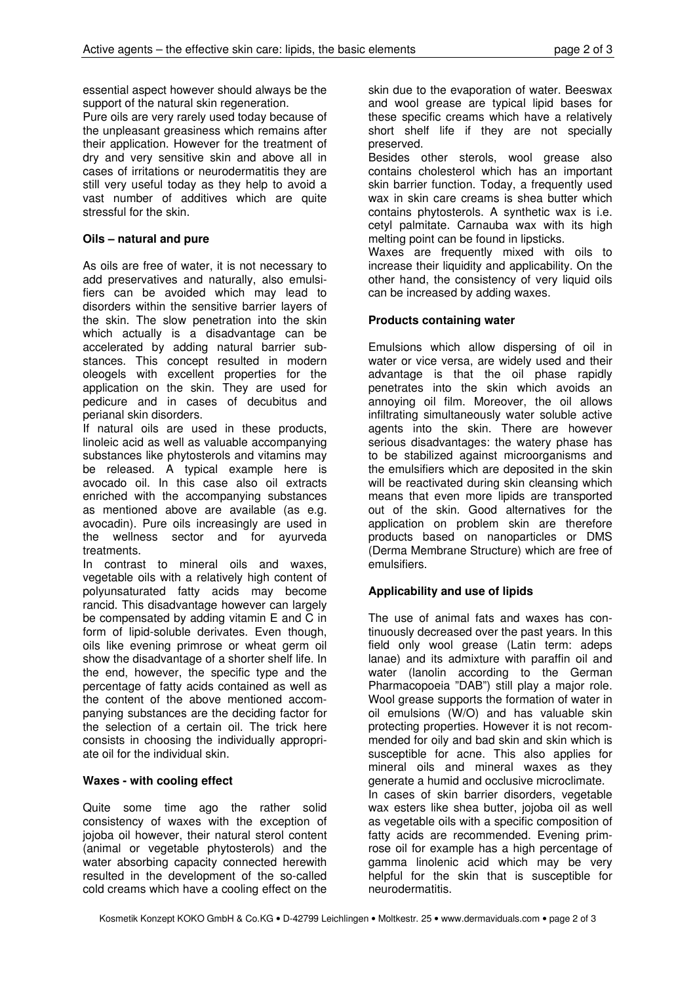essential aspect however should always be the support of the natural skin regeneration.

Pure oils are very rarely used today because of the unpleasant greasiness which remains after their application. However for the treatment of dry and very sensitive skin and above all in cases of irritations or neurodermatitis they are still very useful today as they help to avoid a vast number of additives which are quite stressful for the skin.

# Oils – natural and pure

As oils are free of water, it is not necessary to add preservatives and naturally, also emulsifiers can be avoided which may lead to disorders within the sensitive barrier layers of the skin. The slow penetration into the skin which actually is a disadvantage can be accelerated by adding natural barrier substances. This concept resulted in modern oleogels with excellent properties for the application on the skin. They are used for pedicure and in cases of decubitus and perianal skin disorders.

If natural oils are used in these products, linoleic acid as well as valuable accompanying substances like phytosterols and vitamins may be released. A typical example here is avocado oil. In this case also oil extracts enriched with the accompanying substances as mentioned above are available (as e.g. avocadin). Pure oils increasingly are used in the wellness sector and for ayurveda treatments.

In contrast to mineral oils and waxes, vegetable oils with a relatively high content of polyunsaturated fatty acids may become rancid. This disadvantage however can largely be compensated by adding vitamin E and C in form of lipid-soluble derivates. Even though, oils like evening primrose or wheat germ oil show the disadvantage of a shorter shelf life. In the end, however, the specific type and the percentage of fatty acids contained as well as the content of the above mentioned accompanying substances are the deciding factor for the selection of a certain oil. The trick here consists in choosing the individually appropriate oil for the individual skin.

# Waxes - with cooling effect

Quite some time ago the rather solid consistency of waxes with the exception of jojoba oil however, their natural sterol content (animal or vegetable phytosterols) and the water absorbing capacity connected herewith resulted in the development of the so-called cold creams which have a cooling effect on the

skin due to the evaporation of water. Beeswax and wool grease are typical lipid bases for these specific creams which have a relatively short shelf life if they are not specially preserved.

Besides other sterols, wool grease also contains cholesterol which has an important skin barrier function. Today, a frequently used wax in skin care creams is shea butter which contains phytosterols. A synthetic wax is i.e. cetyl palmitate. Carnauba wax with its high melting point can be found in lipsticks.

Waxes are frequently mixed with oils to increase their liquidity and applicability. On the other hand, the consistency of very liquid oils can be increased by adding waxes.

# Products containing water

Emulsions which allow dispersing of oil in water or vice versa, are widely used and their advantage is that the oil phase rapidly penetrates into the skin which avoids an annoying oil film. Moreover, the oil allows infiltrating simultaneously water soluble active agents into the skin. There are however serious disadvantages: the watery phase has to be stabilized against microorganisms and the emulsifiers which are deposited in the skin will be reactivated during skin cleansing which means that even more lipids are transported out of the skin. Good alternatives for the application on problem skin are therefore products based on nanoparticles or DMS (Derma Membrane Structure) which are free of emulsifiers.

# Applicability and use of lipids

The use of animal fats and waxes has continuously decreased over the past years. In this field only wool grease (Latin term: adeps lanae) and its admixture with paraffin oil and water (lanolin according to the German Pharmacopoeia "DAB") still play a major role. Wool grease supports the formation of water in oil emulsions (W/O) and has valuable skin protecting properties. However it is not recommended for oily and bad skin and skin which is susceptible for acne. This also applies for mineral oils and mineral waxes as they generate a humid and occlusive microclimate. In cases of skin barrier disorders, vegetable wax esters like shea butter, jojoba oil as well as vegetable oils with a specific composition of fatty acids are recommended. Evening primrose oil for example has a high percentage of gamma linolenic acid which may be very helpful for the skin that is susceptible for neurodermatitis.